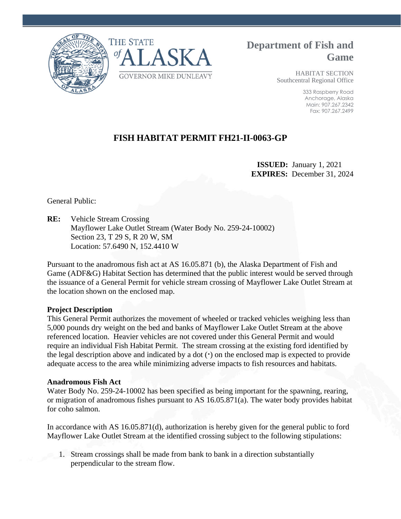



**Department of Fish and Game**

> HABITAT SECTION Southcentral Regional Office

> > 333 Raspberry Road Anchorage, Alaska Main: 907.267.2342 Fax: 907.267.2499

# **FISH HABITAT PERMIT FH21-II-0063-GP**

 **ISSUED:** January 1, 2021 **EXPIRES:** December 31, 2024

General Public:

**RE:** Vehicle Stream Crossing Mayflower Lake Outlet Stream (Water Body No. 259-24-10002) Section 23, T 29 S, R 20 W, SM Location: 57.6490 N, 152.4410 W

Pursuant to the anadromous fish act at AS 16.05.871 (b), the Alaska Department of Fish and Game (ADF&G) Habitat Section has determined that the public interest would be served through the issuance of a General Permit for vehicle stream crossing of Mayflower Lake Outlet Stream at the location shown on the enclosed map.

## **Project Description**

This General Permit authorizes the movement of wheeled or tracked vehicles weighing less than 5,000 pounds dry weight on the bed and banks of Mayflower Lake Outlet Stream at the above referenced location. Heavier vehicles are not covered under this General Permit and would require an individual Fish Habitat Permit. The stream crossing at the existing ford identified by the legal description above and indicated by a dot (**·**) on the enclosed map is expected to provide adequate access to the area while minimizing adverse impacts to fish resources and habitats.

### **Anadromous Fish Act**

Water Body No. 259-24-10002 has been specified as being important for the spawning, rearing, or migration of anadromous fishes pursuant to AS 16.05.871(a). The water body provides habitat for coho salmon.

In accordance with AS 16.05.871(d), authorization is hereby given for the general public to ford Mayflower Lake Outlet Stream at the identified crossing subject to the following stipulations:

1. Stream crossings shall be made from bank to bank in a direction substantially perpendicular to the stream flow.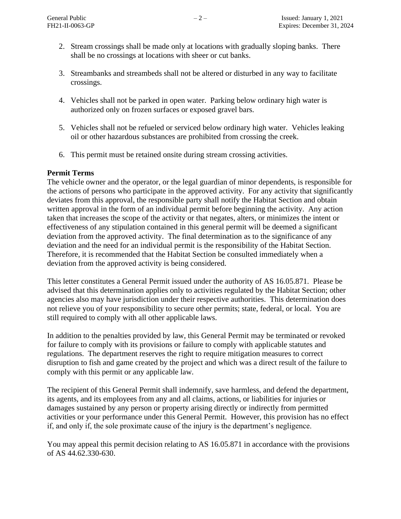- 2. Stream crossings shall be made only at locations with gradually sloping banks. There shall be no crossings at locations with sheer or cut banks.
- 3. Streambanks and streambeds shall not be altered or disturbed in any way to facilitate crossings.
- 4. Vehicles shall not be parked in open water. Parking below ordinary high water is authorized only on frozen surfaces or exposed gravel bars.
- 5. Vehicles shall not be refueled or serviced below ordinary high water. Vehicles leaking oil or other hazardous substances are prohibited from crossing the creek.
- 6. This permit must be retained onsite during stream crossing activities.

### **Permit Terms**

The vehicle owner and the operator, or the legal guardian of minor dependents, is responsible for the actions of persons who participate in the approved activity. For any activity that significantly deviates from this approval, the responsible party shall notify the Habitat Section and obtain written approval in the form of an individual permit before beginning the activity. Any action taken that increases the scope of the activity or that negates, alters, or minimizes the intent or effectiveness of any stipulation contained in this general permit will be deemed a significant deviation from the approved activity. The final determination as to the significance of any deviation and the need for an individual permit is the responsibility of the Habitat Section. Therefore, it is recommended that the Habitat Section be consulted immediately when a deviation from the approved activity is being considered.

This letter constitutes a General Permit issued under the authority of AS 16.05.871. Please be advised that this determination applies only to activities regulated by the Habitat Section; other agencies also may have jurisdiction under their respective authorities. This determination does not relieve you of your responsibility to secure other permits; state, federal, or local. You are still required to comply with all other applicable laws.

In addition to the penalties provided by law, this General Permit may be terminated or revoked for failure to comply with its provisions or failure to comply with applicable statutes and regulations. The department reserves the right to require mitigation measures to correct disruption to fish and game created by the project and which was a direct result of the failure to comply with this permit or any applicable law.

The recipient of this General Permit shall indemnify, save harmless, and defend the department, its agents, and its employees from any and all claims, actions, or liabilities for injuries or damages sustained by any person or property arising directly or indirectly from permitted activities or your performance under this General Permit. However, this provision has no effect if, and only if, the sole proximate cause of the injury is the department's negligence.

You may appeal this permit decision relating to AS 16.05.871 in accordance with the provisions of AS 44.62.330-630.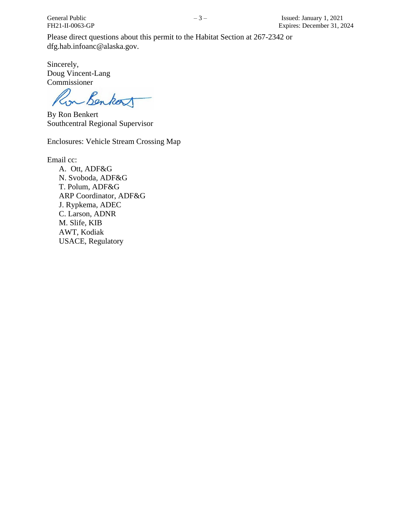Please direct questions about this permit to the Habitat Section at 267-2342 or dfg.hab.infoanc@alaska.gov.

Sincerely, Doug Vincent-Lang Commissioner

Lon Benkort

By Ron Benkert Southcentral Regional Supervisor

Enclosures: Vehicle Stream Crossing Map

Email cc:

A. Ott, ADF&G N. Svoboda, ADF&G T. Polum, ADF&G ARP Coordinator, ADF&G J. Rypkema, ADEC C. Larson, ADNR M. Slife, KIB AWT, Kodiak USACE, Regulatory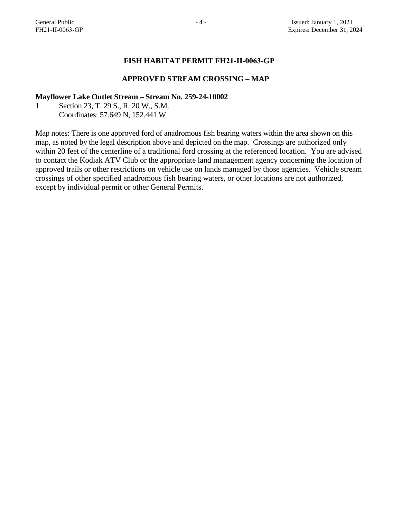### **FISH HABITAT PERMIT FH21-II-0063-GP**

#### **APPROVED STREAM CROSSING – MAP**

#### **Mayflower Lake Outlet Stream – Stream No. 259-24-10002**

1 Section 23, T. 29 S., R. 20 W., S.M. Coordinates: 57.649 N, 152.441 W

Map notes: There is one approved ford of anadromous fish bearing waters within the area shown on this map, as noted by the legal description above and depicted on the map. Crossings are authorized only within 20 feet of the centerline of a traditional ford crossing at the referenced location. You are advised to contact the Kodiak ATV Club or the appropriate land management agency concerning the location of approved trails or other restrictions on vehicle use on lands managed by those agencies. Vehicle stream crossings of other specified anadromous fish bearing waters, or other locations are not authorized, except by individual permit or other General Permits.